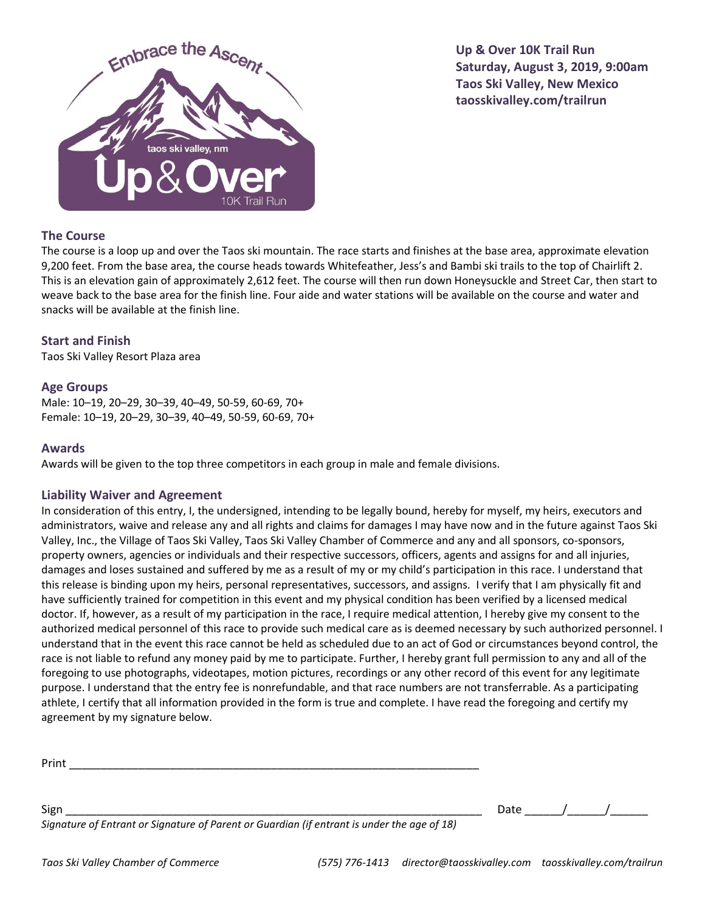

**Up & Over 10K Trail Run Saturday, August 3, 2019, 9:00am Taos Ski Valley, New Mexico taosskivalley.com/trailrun**

# **The Course**

The course is a loop up and over the Taos ski mountain. The race starts and finishes at the base area, approximate elevation 9,200 feet. From the base area, the course heads towards Whitefeather, Jess's and Bambi ski trails to the top of Chairlift 2. This is an elevation gain of approximately 2,612 feet. The course will then run down Honeysuckle and Street Car, then start to weave back to the base area for the finish line. Four aide and water stations will be available on the course and water and snacks will be available at the finish line.

## **Start and Finish**

Taos Ski Valley Resort Plaza area

### **Age Groups**

Male: 10–19, 20–29, 30–39, 40–49, 50-59, 60-69, 70+ Female: 10–19, 20–29, 30–39, 40–49, 50-59, 60-69, 70+

#### **Awards**

Awards will be given to the top three competitors in each group in male and female divisions.

#### **Liability Waiver and Agreement**

In consideration of this entry, I, the undersigned, intending to be legally bound, hereby for myself, my heirs, executors and administrators, waive and release any and all rights and claims for damages I may have now and in the future against Taos Ski Valley, Inc., the Village of Taos Ski Valley, Taos Ski Valley Chamber of Commerce and any and all sponsors, co-sponsors, property owners, agencies or individuals and their respective successors, officers, agents and assigns for and all injuries, damages and loses sustained and suffered by me as a result of my or my child's participation in this race. I understand that this release is binding upon my heirs, personal representatives, successors, and assigns. I verify that I am physically fit and have sufficiently trained for competition in this event and my physical condition has been verified by a licensed medical doctor. If, however, as a result of my participation in the race, I require medical attention, I hereby give my consent to the authorized medical personnel of this race to provide such medical care as is deemed necessary by such authorized personnel. I understand that in the event this race cannot be held as scheduled due to an act of God or circumstances beyond control, the race is not liable to refund any money paid by me to participate. Further, I hereby grant full permission to any and all of the foregoing to use photographs, videotapes, motion pictures, recordings or any other record of this event for any legitimate purpose. I understand that the entry fee is nonrefundable, and that race numbers are not transferrable. As a participating athlete, I certify that all information provided in the form is true and complete. I have read the foregoing and certify my agreement by my signature below.

| Print |      |  |  |
|-------|------|--|--|
|       |      |  |  |
|       |      |  |  |
| Sign  | Date |  |  |

*Signature of Entrant or Signature of Parent or Guardian (if entrant is under the age of 18)*